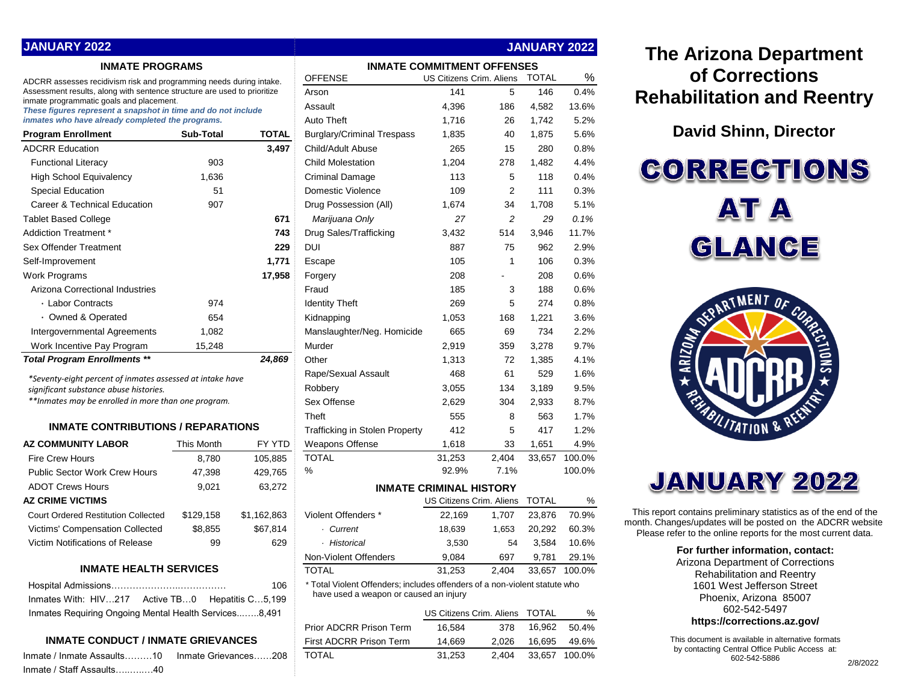| <b>JANUARY 2022</b>                                                                                                                                                                                                                       |                                   |                          |                                                                            | <b>JANUARY 2022</b>            |                |              |        |
|-------------------------------------------------------------------------------------------------------------------------------------------------------------------------------------------------------------------------------------------|-----------------------------------|--------------------------|----------------------------------------------------------------------------|--------------------------------|----------------|--------------|--------|
| <b>INMATE PROGRAMS</b>                                                                                                                                                                                                                    | <b>INMATE COMMITMENT OFFENSES</b> |                          |                                                                            |                                |                |              |        |
| ADCRR assesses recidivism risk and programming needs during intake.                                                                                                                                                                       | <b>OFFENSE</b>                    | US Citizens Crim. Aliens |                                                                            | <b>TOTAL</b>                   | %              |              |        |
| Assessment results, along with sentence structure are used to prioritize<br>inmate programmatic goals and placement.<br>These figures represent a snapshot in time and do not include<br>inmates who have already completed the programs. |                                   |                          | Arson                                                                      | 141                            | 5              | 146          | 0.4%   |
|                                                                                                                                                                                                                                           |                                   |                          | Assault                                                                    | 4,396                          | 186            | 4,582        | 13.6%  |
|                                                                                                                                                                                                                                           |                                   |                          | <b>Auto Theft</b>                                                          | 1,716                          | 26             | 1,742        | 5.2%   |
| <b>Program Enrollment</b>                                                                                                                                                                                                                 | Sub-Total                         | <b>TOTAL</b>             | <b>Burglary/Criminal Trespass</b>                                          | 1,835                          | 40             | 1,875        | 5.6%   |
| <b>ADCRR Education</b>                                                                                                                                                                                                                    |                                   | 3,497                    | Child/Adult Abuse                                                          | 265                            | 15             | 280          | 0.8%   |
| <b>Functional Literacy</b>                                                                                                                                                                                                                | 903                               |                          | <b>Child Molestation</b>                                                   | 1,204                          | 278            | 1,482        | 4.4%   |
| <b>High School Equivalency</b>                                                                                                                                                                                                            | 1,636                             |                          | <b>Criminal Damage</b>                                                     | 113                            | 5              | 118          | 0.4%   |
| <b>Special Education</b>                                                                                                                                                                                                                  | 51                                |                          | Domestic Violence                                                          | 109                            | $\overline{2}$ | 111          | 0.3%   |
| Career & Technical Education                                                                                                                                                                                                              | 907                               |                          | Drug Possession (All)                                                      | 1,674                          | 34             | 1,708        | 5.1%   |
| <b>Tablet Based College</b>                                                                                                                                                                                                               |                                   | 671                      | Marijuana Only                                                             | 27                             | 2              | 29           | 0.1%   |
| Addiction Treatment *                                                                                                                                                                                                                     |                                   | 743                      | Drug Sales/Trafficking                                                     | 3,432                          | 514            | 3,946        | 11.7%  |
| Sex Offender Treatment                                                                                                                                                                                                                    |                                   | 229                      | <b>DUI</b>                                                                 | 887                            | 75             | 962          | 2.9%   |
| Self-Improvement                                                                                                                                                                                                                          |                                   | 1,771                    | Escape                                                                     | 105                            | 1              | 106          | 0.3%   |
| Work Programs                                                                                                                                                                                                                             |                                   | 17,958                   | Forgery                                                                    | 208                            | ۰.             | 208          | 0.6%   |
| Arizona Correctional Industries                                                                                                                                                                                                           |                                   |                          | Fraud                                                                      | 185                            | 3              | 188          | 0.6%   |
| · Labor Contracts                                                                                                                                                                                                                         | 974                               |                          | <b>Identity Theft</b>                                                      | 269                            | 5              | 274          | 0.8%   |
| • Owned & Operated                                                                                                                                                                                                                        | 654                               |                          | Kidnapping                                                                 | 1,053                          | 168            | 1,221        | 3.6%   |
| Intergovernmental Agreements                                                                                                                                                                                                              | 1.082                             |                          | Manslaughter/Neg. Homicide                                                 | 665                            | 69             | 734          | 2.2%   |
| Work Incentive Pay Program                                                                                                                                                                                                                | 15,248                            |                          | Murder                                                                     | 2,919                          | 359            | 3,278        | 9.7%   |
| <b>Total Program Enrollments **</b>                                                                                                                                                                                                       |                                   | 24,869                   | Other                                                                      | 1,313                          | 72             | 1,385        | 4.1%   |
| *Seventy-eight percent of inmates assessed at intake have                                                                                                                                                                                 |                                   |                          | Rape/Sexual Assault                                                        | 468                            | 61             | 529          | 1.6%   |
| significant substance abuse histories.                                                                                                                                                                                                    |                                   |                          | Robbery                                                                    | 3,055                          | 134            | 3,189        | 9.5%   |
| **Inmates may be enrolled in more than one program.                                                                                                                                                                                       |                                   |                          | Sex Offense                                                                | 2,629                          | 304            | 2,933        | 8.7%   |
|                                                                                                                                                                                                                                           |                                   |                          | Theft                                                                      | 555                            | 8              | 563          | 1.7%   |
| <b>INMATE CONTRIBUTIONS / REPARATIONS</b>                                                                                                                                                                                                 |                                   |                          | <b>Trafficking in Stolen Property</b>                                      | 412                            | 5              | 417          | 1.2%   |
| <b>AZ COMMUNITY LABOR</b>                                                                                                                                                                                                                 | This Month                        | FY YTD                   | Weapons Offense                                                            | 1,618                          | 33             | 1,651        | 4.9%   |
| Fire Crew Hours                                                                                                                                                                                                                           | 8,780                             | 105,885                  | <b>TOTAL</b>                                                               | 31,253                         | 2,404          | 33,657       | 100.0% |
| <b>Public Sector Work Crew Hours</b>                                                                                                                                                                                                      | 47,398                            | 429,765                  | $\%$                                                                       | 92.9%                          | 7.1%           |              | 100.0% |
| <b>ADOT Crews Hours</b>                                                                                                                                                                                                                   | 9,021                             | 63,272                   |                                                                            | <b>INMATE CRIMINAL HISTORY</b> |                |              |        |
| <b>AZ CRIME VICTIMS</b>                                                                                                                                                                                                                   |                                   |                          |                                                                            | US Citizens Crim. Aliens       |                | <b>TOTAL</b> | %      |
| <b>Court Ordered Restitution Collected</b>                                                                                                                                                                                                | \$129,158                         | \$1,162,863              | Violent Offenders *                                                        | 22,169                         | 1,707          | 23,876       | 70.9%  |
| <b>Victims' Compensation Collected</b>                                                                                                                                                                                                    | \$8,855                           | \$67,814                 | · Current                                                                  | 18,639                         | 1,653          | 20,292       | 60.3%  |
| Victim Notifications of Release                                                                                                                                                                                                           | 99                                | 629                      | · Historical                                                               | 3,530                          | 54             | 3,584        | 10.6%  |
|                                                                                                                                                                                                                                           |                                   |                          | Non-Violent Offenders                                                      | 9,084                          | 697            | 9,781        | 29.1%  |
| <b>INMATE HEALTH SERVICES</b>                                                                                                                                                                                                             |                                   |                          | <b>TOTAL</b>                                                               | 31,253                         | 2,404          | 33,657       | 100.0% |
|                                                                                                                                                                                                                                           |                                   | 106                      | * Total Violent Offenders; includes offenders of a non-violent statute who |                                |                |              |        |
| Inmates With: HIV217                                                                                                                                                                                                                      | Active TB0 Hepatitis C5,199       |                          | have used a weapon or caused an injury                                     |                                |                |              |        |
| Inmates Requiring Ongoing Mental Health Services8,491                                                                                                                                                                                     |                                   | US Citizens Crim. Aliens |                                                                            | <b>TOTAL</b>                   | %              |              |        |
|                                                                                                                                                                                                                                           |                                   |                          | Prior ADCRR Prison Term                                                    | 16,584                         | 378            | 16,962       | 50.4%  |
| <b>INMATE CONDUCT / INMATE GRIEVANCES</b>                                                                                                                                                                                                 | First ADCRR Prison Term           | 14,669                   | 2,026                                                                      | 16,695                         | 49.6%          |              |        |

Inmate / Inmate Assaults………10 Inmate Grievances……208 TOTAL 31,253 2,404 33,657 100.0%

Inmate / Staff Assaults…..…..…40

# **The Arizona Department of Corrections Rehabilitation and Reentry**

**David Shinn, Director**

# **CORRECTIONS AT A** GLANCE





This report contains preliminary statistics as of the end of the month. Changes/updates will be posted on the ADCRR website. Please refer to the online reports for the most current data.

#### **For further information, contact:**

Arizona Department of Corrections Rehabilitation and Reentry 1601 West Jefferson Street Phoenix, Arizona 85007 602-542-5497 **https://corrections.az.gov/**

This document is available in alternative formats by contacting Central Office Public Access at: 602-542-5886